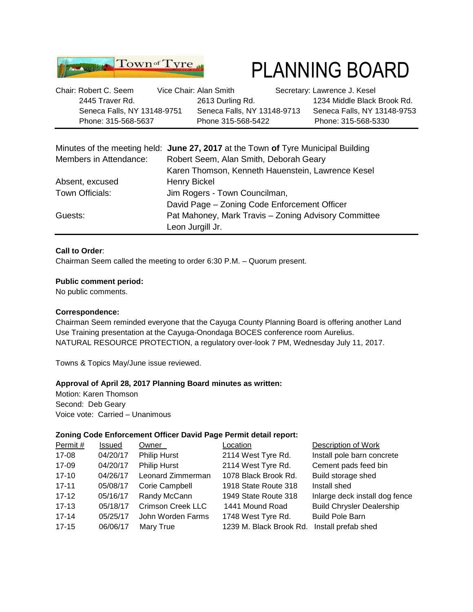

# PLANNING BOARD

| Chair: Robert C. Seem       | Vice Chair: Alan Smith      | Secretary: Lawrence J. Kesel |
|-----------------------------|-----------------------------|------------------------------|
| 2445 Traver Rd.             | 2613 Durling Rd.            | 1234 Middle Black Brook Rd.  |
| Seneca Falls, NY 13148-9751 | Seneca Falls, NY 13148-9713 | Seneca Falls, NY 13148-9753  |
| Phone: 315-568-5637         | Phone 315-568-5422          | Phone: 315-568-5330          |

|                        | Minutes of the meeting held: June 27, 2017 at the Town of Tyre Municipal Building |  |  |
|------------------------|-----------------------------------------------------------------------------------|--|--|
| Members in Attendance: | Robert Seem, Alan Smith, Deborah Geary                                            |  |  |
|                        | Karen Thomson, Kenneth Hauenstein, Lawrence Kesel                                 |  |  |
| Absent, excused        | <b>Henry Bickel</b>                                                               |  |  |
| Town Officials:        | Jim Rogers - Town Councilman,                                                     |  |  |
|                        | David Page - Zoning Code Enforcement Officer                                      |  |  |
| Guests:                | Pat Mahoney, Mark Travis - Zoning Advisory Committee                              |  |  |
|                        | Leon Jurgill Jr.                                                                  |  |  |

### **Call to Order**:

Chairman Seem called the meeting to order 6:30 P.M. – Quorum present.

#### **Public comment period:**

No public comments.

#### **Correspondence:**

Chairman Seem reminded everyone that the Cayuga County Planning Board is offering another Land Use Training presentation at the Cayuga-Onondaga BOCES conference room Aurelius. NATURAL RESOURCE PROTECTION, a regulatory over-look 7 PM, Wednesday July 11, 2017.

Towns & Topics May/June issue reviewed.

#### **Approval of April 28, 2017 Planning Board minutes as written:**

Motion: Karen Thomson Second: Deb Geary Voice vote: Carried – Unanimous

#### **Zoning Code Enforcement Officer David Page Permit detail report:**

| Permit#   | Issued   | Owner                    | Location                | Description of Work              |
|-----------|----------|--------------------------|-------------------------|----------------------------------|
| 17-08     | 04/20/17 | <b>Philip Hurst</b>      | 2114 West Tyre Rd.      | Install pole barn concrete       |
| 17-09     | 04/20/17 | <b>Philip Hurst</b>      | 2114 West Tyre Rd.      | Cement pads feed bin             |
| $17 - 10$ | 04/26/17 | Leonard Zimmerman        | 1078 Black Brook Rd.    | Build storage shed               |
| $17 - 11$ | 05/08/17 | Corie Campbell           | 1918 State Route 318    | Install shed                     |
| $17 - 12$ | 05/16/17 | Randy McCann             | 1949 State Route 318    | Inlarge deck install dog fence   |
| $17 - 13$ | 05/18/17 | <b>Crimson Creek LLC</b> | 1441 Mound Road         | <b>Build Chrysler Dealership</b> |
| $17 - 14$ | 05/25/17 | John Worden Farms        | 1748 West Tyre Rd.      | <b>Build Pole Barn</b>           |
| $17 - 15$ | 06/06/17 | Mary True                | 1239 M. Black Brook Rd. | Install prefab shed              |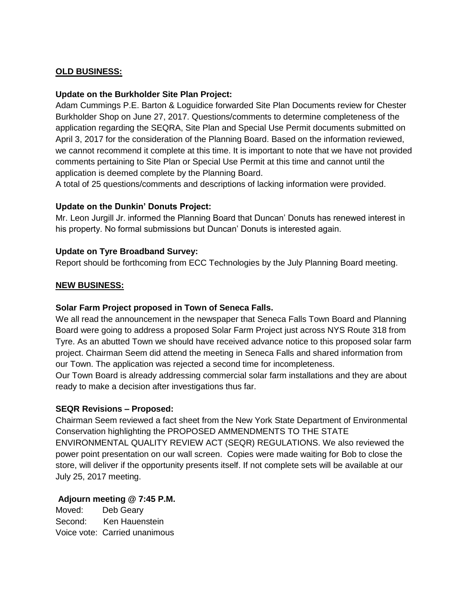# **OLD BUSINESS:**

## **Update on the Burkholder Site Plan Project:**

Adam Cummings P.E. Barton & Loguidice forwarded Site Plan Documents review for Chester Burkholder Shop on June 27, 2017. Questions/comments to determine completeness of the application regarding the SEQRA, Site Plan and Special Use Permit documents submitted on April 3, 2017 for the consideration of the Planning Board. Based on the information reviewed, we cannot recommend it complete at this time. It is important to note that we have not provided comments pertaining to Site Plan or Special Use Permit at this time and cannot until the application is deemed complete by the Planning Board.

A total of 25 questions/comments and descriptions of lacking information were provided.

## **Update on the Dunkin' Donuts Project:**

Mr. Leon Jurgill Jr. informed the Planning Board that Duncan' Donuts has renewed interest in his property. No formal submissions but Duncan' Donuts is interested again.

## **Update on Tyre Broadband Survey:**

Report should be forthcoming from ECC Technologies by the July Planning Board meeting.

## **NEW BUSINESS:**

### **Solar Farm Project proposed in Town of Seneca Falls.**

We all read the announcement in the newspaper that Seneca Falls Town Board and Planning Board were going to address a proposed Solar Farm Project just across NYS Route 318 from Tyre. As an abutted Town we should have received advance notice to this proposed solar farm project. Chairman Seem did attend the meeting in Seneca Falls and shared information from our Town. The application was rejected a second time for incompleteness.

Our Town Board is already addressing commercial solar farm installations and they are about ready to make a decision after investigations thus far.

#### **SEQR Revisions – Proposed:**

Chairman Seem reviewed a fact sheet from the New York State Department of Environmental Conservation highlighting the PROPOSED AMMENDMENTS TO THE STATE ENVIRONMENTAL QUALITY REVIEW ACT (SEQR) REGULATIONS. We also reviewed the power point presentation on our wall screen. Copies were made waiting for Bob to close the store, will deliver if the opportunity presents itself. If not complete sets will be available at our July 25, 2017 meeting.

# **Adjourn meeting @ 7:45 P.M.**

Moved: Deb Geary Second: Ken Hauenstein Voice vote: Carried unanimous